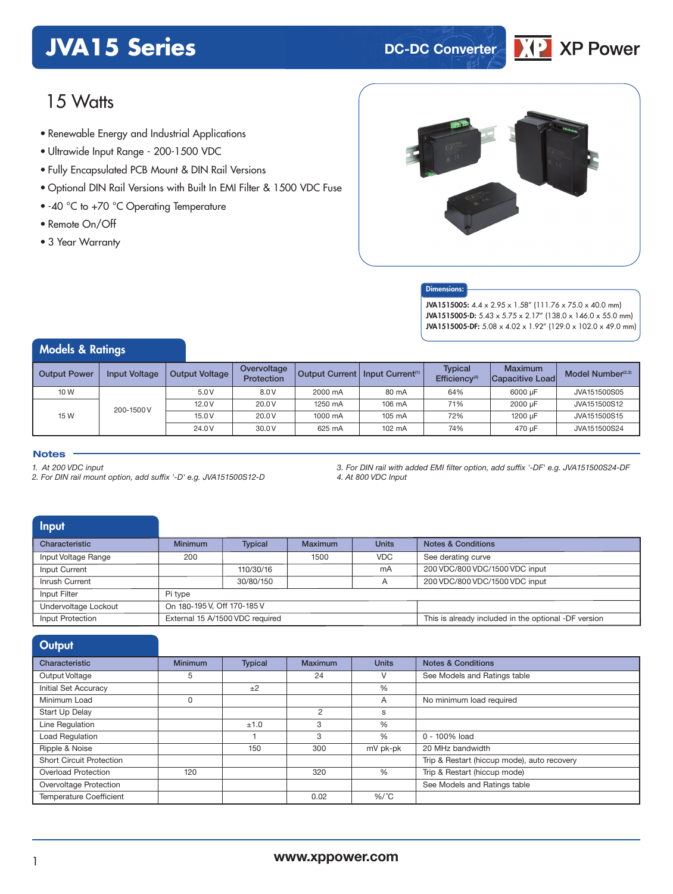# **JVA15 Series DC-DC** Converter



# 15 Watts

- Renewable Energy and Industrial Applications
- Ultrawide Input Range 200-1500 VDC
- Fully Encapsulated PCB Mount & DIN Rail Versions
- Optional DIN Rail Versions with Built In EMI Filter & 1500 VDC Fuse
- -40 °C to +70 °C Operating Temperature
- Remote On/Off
- 3 Year Warranty



### Dimensions:

JVA1515005: 4.4 x 2.95 x 1.58" (111.76 x 75.0 x 40.0 mm) JVA1515005-D: 5.43 x 5.75 x 2.17" (138.0 x 146.0 x 55.0 mm) JVA1515005-DF: 5.08 x 4.02 x 1.92" (129.0 x 102.0 x 49.0 mm)

|  | <b>Models &amp; Ratings</b> |  |
|--|-----------------------------|--|
|  |                             |  |

| <b>Output Power</b> | <b>Input Voltage</b> | Output Voltage | Overvoltage<br>Protection | Output Current   Input Current <sup>(1)</sup> |        | Typical<br>Efficiencv <sup>(4)</sup> | <b>Maximum</b><br>Capacitive Load | Model Number <sup>(2,3)</sup> |
|---------------------|----------------------|----------------|---------------------------|-----------------------------------------------|--------|--------------------------------------|-----------------------------------|-------------------------------|
| 10 W                |                      | 5.0V           | 8.0 V                     | 2000 mA                                       | 80 mA  | 64%                                  | 6000 uF                           | JVA151500S05                  |
|                     | 200-1500 V           | 12.0V          | 20.0 V                    | 1250 mA                                       | 106 mA | 71%                                  | 2000 uF                           | JVA151500S12                  |
| 15 W                |                      | 15.0 V         | 20.0 V                    | 1000 mA                                       | 105 mA | 72%                                  | 1200 uF                           | JVA151500S15                  |
|                     |                      | 24.0 V         | 30.0 V                    | 625 mA                                        | 102 mA | 74%                                  | 470 uF                            | JVA151500S24                  |

#### **Notes**

*1. At 200 VDC input*

*2. For DIN rail mount option, add suffix '-D' e.g. JVA151500S12-D*

*3. For DIN rail with added EMI filter option, add suffix '-DF' e.g. JVA151500S24-DF 4. At 800 VDC Input*

### **Input**

| Characteristic       | <b>Minimum</b>              | <b>Typical</b>                  | <b>Maximum</b> | <b>Units</b> | <b>Notes &amp; Conditions</b>                        |
|----------------------|-----------------------------|---------------------------------|----------------|--------------|------------------------------------------------------|
| Input Voltage Range  | 200                         |                                 | 1500           | VDC.         | See derating curve                                   |
| Input Current        |                             | 110/30/16                       |                | mA           | 200 VDC/800 VDC/1500 VDC input                       |
| Inrush Current       |                             | 30/80/150                       |                |              | 200 VDC/800 VDC/1500 VDC input                       |
| Input Filter         | Pi type                     |                                 |                |              |                                                      |
| Undervoltage Lockout | On 180-195 V, Off 170-185 V |                                 |                |              |                                                      |
| Input Protection     |                             | External 15 A/1500 VDC required |                |              | This is already included in the optional -DF version |

| Output                          |                |                |                |              |                                             |
|---------------------------------|----------------|----------------|----------------|--------------|---------------------------------------------|
| Characteristic                  | <b>Minimum</b> | <b>Typical</b> | Maximum        | <b>Units</b> | <b>Notes &amp; Conditions</b>               |
| Output Voltage                  | 5              |                | 24             | V            | See Models and Ratings table                |
| <b>Initial Set Accuracy</b>     |                | ±2             |                | %            |                                             |
| Minimum Load                    | $\Omega$       |                |                | A            | No minimum load required                    |
| Start Up Delay                  |                |                | $\overline{2}$ | s            |                                             |
| Line Regulation                 |                | ±1.0           | 3              | %            |                                             |
| <b>Load Regulation</b>          |                |                | 3              | $\%$         | $0 - 100\%$ load                            |
| Ripple & Noise                  |                | 150            | 300            | mV pk-pk     | 20 MHz bandwidth                            |
| <b>Short Circuit Protection</b> |                |                |                |              | Trip & Restart (hiccup mode), auto recovery |
| <b>Overload Protection</b>      | 120            |                | 320            | %            | Trip & Restart (hiccup mode)                |
| Overvoltage Protection          |                |                |                |              | See Models and Ratings table                |
| <b>Temperature Coefficient</b>  |                |                | 0.02           | $\%$ /°C     |                                             |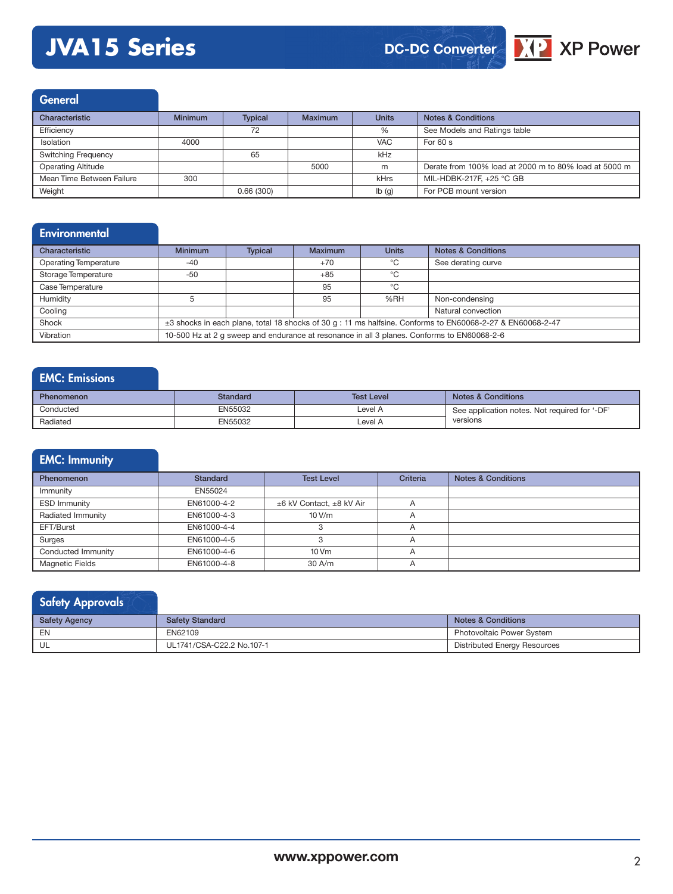# **JVA15 Series**



**General** 

| Characteristic             | <b>Minimum</b> | <b>Typical</b> | Maximum | <b>Units</b> | <b>Notes &amp; Conditions</b>                         |
|----------------------------|----------------|----------------|---------|--------------|-------------------------------------------------------|
| Efficiency                 |                | 72             |         | %            | See Models and Ratings table                          |
| <b>Isolation</b>           | 4000           |                |         | <b>VAC</b>   | For 60 s                                              |
| <b>Switching Frequency</b> |                | 65             |         | kHz          |                                                       |
| <b>Operating Altitude</b>  |                |                | 5000    | m            | Derate from 100% load at 2000 m to 80% load at 5000 m |
| Mean Time Between Failure  | 300            |                |         | <b>kHrs</b>  | MIL-HDBK-217F, +25 °C GB                              |
| Weight                     |                | 0.66(300)      |         | lb(q)        | For PCB mount version                                 |

### **Environmental**

| Characteristic               | <b>Minimum</b> | <b>Typical</b>                                                                                             | <b>Maximum</b> | <b>Units</b> | <b>Notes &amp; Conditions</b>                                                              |  |
|------------------------------|----------------|------------------------------------------------------------------------------------------------------------|----------------|--------------|--------------------------------------------------------------------------------------------|--|
| <b>Operating Temperature</b> | $-40$          |                                                                                                            | $+70$          | ℃            | See derating curve                                                                         |  |
| Storage Temperature          | $-50$          |                                                                                                            | $+85$          | °C           |                                                                                            |  |
| Case Temperature             |                |                                                                                                            | 95             | °C           |                                                                                            |  |
| Humidity                     |                |                                                                                                            | 95             | %RH          | Non-condensing                                                                             |  |
| Cooling                      |                |                                                                                                            |                |              | Natural convection                                                                         |  |
| Shock                        |                | ±3 shocks in each plane, total 18 shocks of 30 g : 11 ms halfsine. Conforms to EN60068-2-27 & EN60068-2-47 |                |              |                                                                                            |  |
| Vibration                    |                |                                                                                                            |                |              | 10-500 Hz at 2 g sweep and endurance at resonance in all 3 planes. Conforms to EN60068-2-6 |  |

### EMC: Emissions

| <b>Phenomenon</b> | Standard | Test Level | <b>Notes &amp; Conditions</b>                 |
|-------------------|----------|------------|-----------------------------------------------|
| Conducted         | EN55032  | Level A    | See application notes. Not required for '-DF' |
| Radiated          | EN55032  | Level A    | versions                                      |

## EMC: Immunity

| <b>Phenomenon</b>      | <b>Standard</b> | <b>Test Level</b>        | <b>Criteria</b> | <b>Notes &amp; Conditions</b> |
|------------------------|-----------------|--------------------------|-----------------|-------------------------------|
| Immunity               | EN55024         |                          |                 |                               |
| <b>ESD Immunity</b>    | EN61000-4-2     | ±6 kV Contact, ±8 kV Air |                 |                               |
| Radiated Immunity      | EN61000-4-3     | 10 V/m                   |                 |                               |
| EFT/Burst              | EN61000-4-4     |                          |                 |                               |
| Surges                 | EN61000-4-5     |                          | P               |                               |
| Conducted Immunity     | EN61000-4-6     | $10$ Vm                  |                 |                               |
| <b>Magnetic Fields</b> | EN61000-4-8     | 30 A/m                   |                 |                               |

| Safety Approvals     |                           |                                     |
|----------------------|---------------------------|-------------------------------------|
| <b>Safety Agency</b> | <b>Safety Standard</b>    | <b>Notes &amp; Conditions</b>       |
| EN                   | EN62109                   | Photovoltaic Power System           |
|                      | UL1741/CSA-C22.2 No.107-1 | <b>Distributed Energy Resources</b> |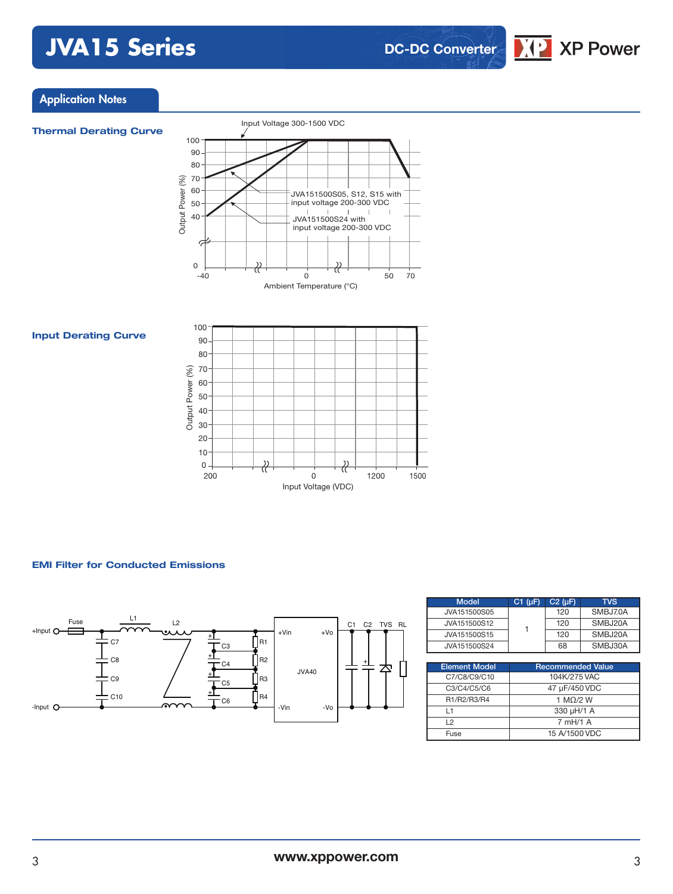# **JVA15 Series**



## **Application Notes**

### **Thermal Derating Curve**



### **Input Derating Curve**



### **EMI Filter for Conducted Emissions**



|                      | $\cdots$ | .                        |          |
|----------------------|----------|--------------------------|----------|
| JVA151500S05         |          | 120                      | SMBJ7.0A |
| JVA151500S12         |          | 120                      | SMBJ20A  |
| JVA151500S15         |          | 120                      | SMBJ20A  |
| JVA151500S24         |          | 68                       | SMBJ30A  |
|                      |          |                          |          |
|                      |          |                          |          |
| <b>Element Model</b> |          | <b>Recommended Value</b> |          |
| C7/C8/C9/C10         |          | 104K/275 VAC             |          |
| C3/C4/C5/C6          |          | 47 µF/450 VDC            |          |
| R1/R2/R3/R4          |          | 1 MQ/2 W                 |          |

L2 7 mH/1 A Fuse 15 A/1500 VDC

 $CM(E)$   $C2$  ( $U$ F) TVS